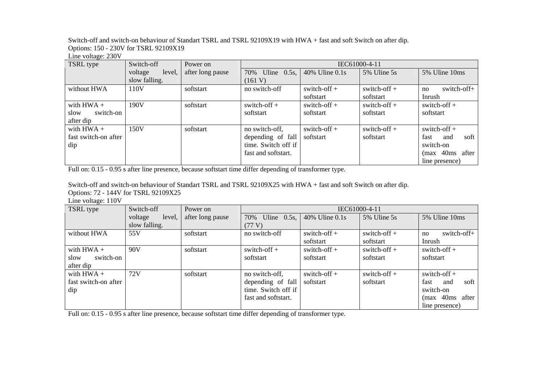Switch-off and switch-on behaviour of Standart TSRL and TSRL 92109X19 with HWA + fast and soft Switch on after dip. Options: 150 - 230V for TSRL 92109X19

Line voltage: 230V

| TSRL type            | Switch-off        | Power on         | IEC61000-4-11         |                  |                |                     |
|----------------------|-------------------|------------------|-----------------------|------------------|----------------|---------------------|
|                      | voltage<br>level, | after long pause | Uline $0.5s$ ,<br>70% | 40% Uline $0.1s$ | 5% Uline 5s    | 5% Uline 10ms       |
|                      | slow falling.     |                  | (161 V)               |                  |                |                     |
| without HWA          | 110V              | softstart        | no switch-off         | switch-off $+$   | switch-off $+$ | switch-off+<br>no   |
|                      |                   |                  |                       | softstart        | softstart      | Inrush              |
| with $HWA +$         | 190V              | softstart        | switch-off $+$        | switch-off $+$   | switch-off $+$ | switch-off $+$      |
| switch-on<br>slow    |                   |                  | softstart             | softstart        | softstart      | softstart           |
| after dip            |                   |                  |                       |                  |                |                     |
| with $HWA +$         | 150V              | softstart        | no switch-off,        | switch-off $+$   | switch-off $+$ | switch-off $+$      |
| fast switch-on after |                   |                  | depending of fall     | softstart        | softstart      | soft<br>fast<br>and |
| dip                  |                   |                  | time. Switch off if   |                  |                | switch-on           |
|                      |                   |                  | fast and softstart.   |                  |                | 40ms after<br>(max  |
|                      |                   |                  |                       |                  |                | line presence)      |

Full on: 0.15 - 0.95 s after line presence, because softstart time differ depending of transformer type.

Switch-off and switch-on behaviour of Standart TSRL and TSRL 92109X25 with HWA + fast and soft Switch on after dip. Options: 72 - 144V for TSRL 92109X25

Line voltage: 110V

| TSRL type            | Switch-off        | Power on         | IEC61000-4-11         |                |                |                       |
|----------------------|-------------------|------------------|-----------------------|----------------|----------------|-----------------------|
|                      | level,<br>voltage | after long pause | 70%<br>Uline $0.5s$ , | 40% Uline 0.1s | 5% Uline 5s    | 5% Uline 10ms         |
|                      | slow falling.     |                  | (77 V)                |                |                |                       |
| without HWA          | 55V               | softstart        | no switch-off         | switch-off $+$ | switch-off $+$ | switch-off+<br>no     |
|                      |                   |                  |                       | softstart      | softstart      | Inrush                |
| with $HWA +$         | 90V               | softstart        | switch-off $+$        | switch-off $+$ | switch-off $+$ | switch-off $+$        |
| switch-on<br>slow    |                   |                  | softstart             | softstart      | softstart      | softstart             |
| after dip            |                   |                  |                       |                |                |                       |
| with $HWA +$         | 72V               | softstart        | no switch-off,        | switch-off $+$ | switch-off $+$ | switch-off $+$        |
| fast switch-on after |                   |                  | depending of fall     | softstart      | softstart      | soft  <br>fast<br>and |
| dip                  |                   |                  | time. Switch off if   |                |                | switch-on             |
|                      |                   |                  | fast and softstart.   |                |                | (max 40ms after       |
|                      |                   |                  |                       |                |                | line presence)        |

Full on: 0.15 - 0.95 s after line presence, because softstart time differ depending of transformer type.